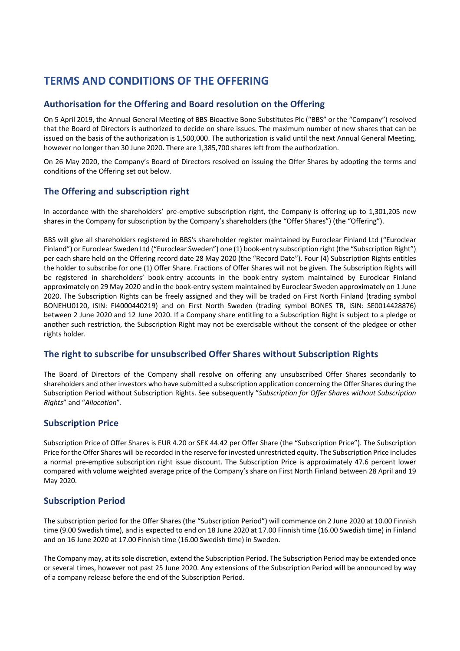# **TERMS AND CONDITIONS OF THE OFFERING**

# **Authorisation for the Offering and Board resolution on the Offering**

On 5 April 2019, the Annual General Meeting of BBS-Bioactive Bone Substitutes Plc ("BBS" or the "Company") resolved that the Board of Directors is authorized to decide on share issues. The maximum number of new shares that can be issued on the basis of the authorization is 1,500,000. The authorization is valid until the next Annual General Meeting, however no longer than 30 June 2020. There are 1,385,700 shares left from the authorization.

On 26 May 2020, the Company's Board of Directors resolved on issuing the Offer Shares by adopting the terms and conditions of the Offering set out below.

# **The Offering and subscription right**

In accordance with the shareholders' pre-emptive subscription right, the Company is offering up to 1,301,205 new shares in the Company for subscription by the Company's shareholders (the "Offer Shares") (the "Offering").

BBS will give all shareholders registered in BBS's shareholder register maintained by Euroclear Finland Ltd ("Euroclear Finland") or Euroclear Sweden Ltd ("Euroclear Sweden") one (1) book-entry subscription right (the "Subscription Right") per each share held on the Offering record date 28 May 2020 (the "Record Date"). Four (4) Subscription Rights entitles the holder to subscribe for one (1) Offer Share. Fractions of Offer Shares will not be given. The Subscription Rights will be registered in shareholders' book-entry accounts in the book-entry system maintained by Euroclear Finland approximately on 29 May 2020 and in the book-entry system maintained by Euroclear Sweden approximately on 1 June 2020. The Subscription Rights can be freely assigned and they will be traded on First North Finland (trading symbol BONEHU0120, ISIN: FI4000440219) and on First North Sweden (trading symbol BONES TR, ISIN: SE0014428876) between 2 June 2020 and 12 June 2020. If a Company share entitling to a Subscription Right is subject to a pledge or another such restriction, the Subscription Right may not be exercisable without the consent of the pledgee or other rights holder.

# **The right to subscribe for unsubscribed Offer Shares without Subscription Rights**

The Board of Directors of the Company shall resolve on offering any unsubscribed Offer Shares secondarily to shareholders and other investors who have submitted a subscription application concerning the Offer Shares during the Subscription Period without Subscription Rights. See subsequently "*Subscription for Offer Shares without Subscription Rights*" and "*Allocation*".

# **Subscription Price**

Subscription Price of Offer Shares is EUR 4.20 or SEK 44.42 per Offer Share (the "Subscription Price"). The Subscription Price for the Offer Shares will be recorded in the reserve for invested unrestricted equity. The Subscription Price includes a normal pre-emptive subscription right issue discount. The Subscription Price is approximately 47.6 percent lower compared with volume weighted average price of the Company's share on First North Finland between 28 April and 19 May 2020.

# **Subscription Period**

The subscription period for the Offer Shares (the "Subscription Period") will commence on 2 June 2020 at 10.00 Finnish time (9.00 Swedish time), and is expected to end on 18 June 2020 at 17.00 Finnish time (16.00 Swedish time) in Finland and on 16 June 2020 at 17.00 Finnish time (16.00 Swedish time) in Sweden.

The Company may, at its sole discretion, extend the Subscription Period. The Subscription Period may be extended once or several times, however not past 25 June 2020. Any extensions of the Subscription Period will be announced by way of a company release before the end of the Subscription Period.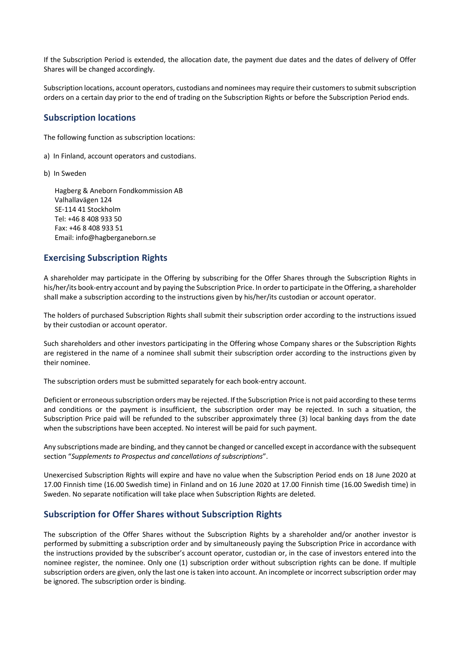If the Subscription Period is extended, the allocation date, the payment due dates and the dates of delivery of Offer Shares will be changed accordingly.

Subscription locations, account operators, custodians and nominees may require their customers to submit subscription orders on a certain day prior to the end of trading on the Subscription Rights or before the Subscription Period ends.

### **Subscription locations**

The following function as subscription locations:

- a) In Finland, account operators and custodians.
- b) In Sweden

Hagberg & Aneborn Fondkommission AB Valhallavägen 124 SE-114 41 Stockholm Tel: +46 8 408 933 50 Fax: +46 8 408 933 51 Email: info@hagberganeborn.se

### **Exercising Subscription Rights**

A shareholder may participate in the Offering by subscribing for the Offer Shares through the Subscription Rights in his/her/its book-entry account and by paying the Subscription Price. In order to participate in the Offering, a shareholder shall make a subscription according to the instructions given by his/her/its custodian or account operator.

The holders of purchased Subscription Rights shall submit their subscription order according to the instructions issued by their custodian or account operator.

Such shareholders and other investors participating in the Offering whose Company shares or the Subscription Rights are registered in the name of a nominee shall submit their subscription order according to the instructions given by their nominee.

The subscription orders must be submitted separately for each book-entry account.

Deficient or erroneous subscription orders may be rejected. If the Subscription Price is not paid according to these terms and conditions or the payment is insufficient, the subscription order may be rejected. In such a situation, the Subscription Price paid will be refunded to the subscriber approximately three (3) local banking days from the date when the subscriptions have been accepted. No interest will be paid for such payment.

Any subscriptions made are binding, and they cannot be changed or cancelled except in accordance with the subsequent section "*Supplements to Prospectus and cancellations of subscriptions*".

Unexercised Subscription Rights will expire and have no value when the Subscription Period ends on 18 June 2020 at 17.00 Finnish time (16.00 Swedish time) in Finland and on 16 June 2020 at 17.00 Finnish time (16.00 Swedish time) in Sweden. No separate notification will take place when Subscription Rights are deleted.

### **Subscription for Offer Shares without Subscription Rights**

The subscription of the Offer Shares without the Subscription Rights by a shareholder and/or another investor is performed by submitting a subscription order and by simultaneously paying the Subscription Price in accordance with the instructions provided by the subscriber's account operator, custodian or, in the case of investors entered into the nominee register, the nominee. Only one (1) subscription order without subscription rights can be done. If multiple subscription orders are given, only the last one is taken into account. An incomplete or incorrect subscription order may be ignored. The subscription order is binding.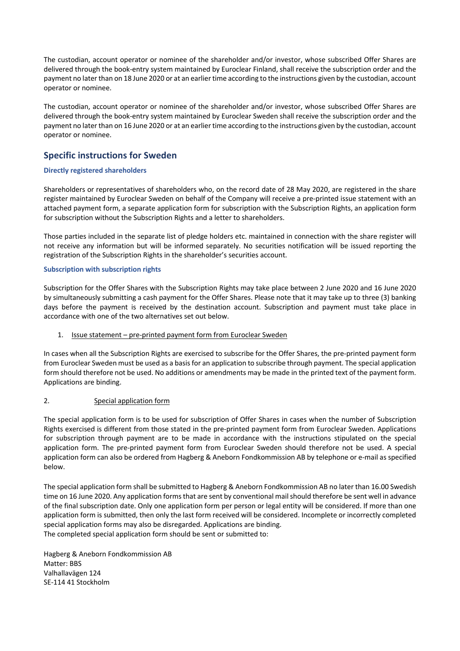The custodian, account operator or nominee of the shareholder and/or investor, whose subscribed Offer Shares are delivered through the book-entry system maintained by Euroclear Finland, shall receive the subscription order and the payment no later than on 18 June 2020 or at an earlier time according to the instructions given by the custodian, account operator or nominee.

The custodian, account operator or nominee of the shareholder and/or investor, whose subscribed Offer Shares are delivered through the book-entry system maintained by Euroclear Sweden shall receive the subscription order and the payment no later than on 16 June 2020 or at an earlier time according to the instructions given by the custodian, account operator or nominee.

# **Specific instructions for Sweden**

#### **Directly registered shareholders**

Shareholders or representatives of shareholders who, on the record date of 28 May 2020, are registered in the share register maintained by Euroclear Sweden on behalf of the Company will receive a pre-printed issue statement with an attached payment form, a separate application form for subscription with the Subscription Rights, an application form for subscription without the Subscription Rights and a letter to shareholders.

Those parties included in the separate list of pledge holders etc. maintained in connection with the share register will not receive any information but will be informed separately. No securities notification will be issued reporting the registration of the Subscription Rights in the shareholder's securities account.

#### **Subscription with subscription rights**

Subscription for the Offer Shares with the Subscription Rights may take place between 2 June 2020 and 16 June 2020 by simultaneously submitting a cash payment for the Offer Shares. Please note that it may take up to three (3) banking days before the payment is received by the destination account. Subscription and payment must take place in accordance with one of the two alternatives set out below.

#### 1. Issue statement – pre-printed payment form from Euroclear Sweden

In cases when all the Subscription Rights are exercised to subscribe for the Offer Shares, the pre-printed payment form from Euroclear Sweden must be used as a basis for an application to subscribe through payment. The special application form should therefore not be used. No additions or amendments may be made in the printed text of the payment form. Applications are binding.

#### 2. Special application form

The special application form is to be used for subscription of Offer Shares in cases when the number of Subscription Rights exercised is different from those stated in the pre-printed payment form from Euroclear Sweden. Applications for subscription through payment are to be made in accordance with the instructions stipulated on the special application form. The pre-printed payment form from Euroclear Sweden should therefore not be used. A special application form can also be ordered from Hagberg & Aneborn Fondkommission AB by telephone or e-mail as specified below.

The special application form shall be submitted to Hagberg & Aneborn Fondkommission AB no later than 16.00 Swedish time on 16 June 2020. Any application forms that are sent by conventional mail should therefore be sent well in advance of the final subscription date. Only one application form per person or legal entity will be considered. If more than one application form is submitted, then only the last form received will be considered. Incomplete or incorrectly completed special application forms may also be disregarded. Applications are binding. The completed special application form should be sent or submitted to:

Hagberg & Aneborn Fondkommission AB Matter: BBS Valhallavägen 124 SE-114 41 Stockholm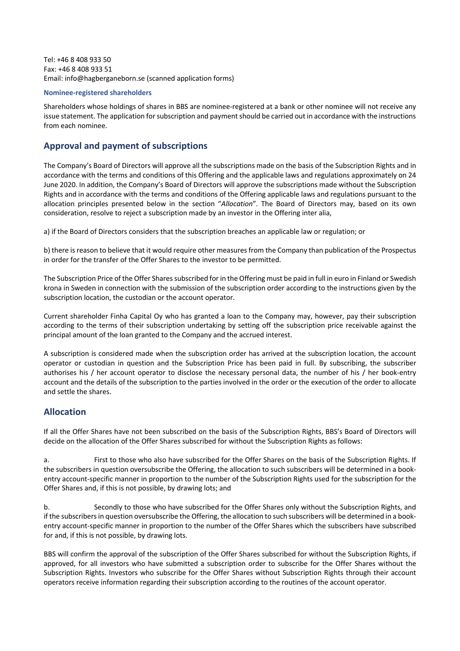Tel: +46 8 408 933 50 Fax: +46 8 408 933 51 Email: info@hagberganeborn.se (scanned application forms)

#### **Nominee-registered shareholders**

Shareholders whose holdings of shares in BBS are nominee-registered at a bank or other nominee will not receive any issue statement. The application for subscription and payment should be carried out in accordance with the instructions from each nominee.

# **Approval and payment of subscriptions**

The Company's Board of Directors will approve all the subscriptions made on the basis of the Subscription Rights and in accordance with the terms and conditions of this Offering and the applicable laws and regulations approximately on 24 June 2020. In addition, the Company's Board of Directors will approve the subscriptions made without the Subscription Rights and in accordance with the terms and conditions of the Offering applicable laws and regulations pursuant to the allocation principles presented below in the section "*Allocation*". The Board of Directors may, based on its own consideration, resolve to reject a subscription made by an investor in the Offering inter alia,

a) if the Board of Directors considers that the subscription breaches an applicable law or regulation; or

b) there is reason to believe that it would require other measures from the Company than publication of the Prospectus in order for the transfer of the Offer Shares to the investor to be permitted.

The Subscription Price of the Offer Shares subscribed for in the Offering must be paid in full in euro in Finland or Swedish krona in Sweden in connection with the submission of the subscription order according to the instructions given by the subscription location, the custodian or the account operator.

Current shareholder Finha Capital Oy who has granted a loan to the Company may, however, pay their subscription according to the terms of their subscription undertaking by setting off the subscription price receivable against the principal amount of the loan granted to the Company and the accrued interest.

A subscription is considered made when the subscription order has arrived at the subscription location, the account operator or custodian in question and the Subscription Price has been paid in full. By subscribing, the subscriber authorises his / her account operator to disclose the necessary personal data, the number of his / her book-entry account and the details of the subscription to the parties involved in the order or the execution of the order to allocate and settle the shares.

### **Allocation**

If all the Offer Shares have not been subscribed on the basis of the Subscription Rights, BBS's Board of Directors will decide on the allocation of the Offer Shares subscribed for without the Subscription Rights as follows:

a. First to those who also have subscribed for the Offer Shares on the basis of the Subscription Rights. If the subscribers in question oversubscribe the Offering, the allocation to such subscribers will be determined in a bookentry account-specific manner in proportion to the number of the Subscription Rights used for the subscription for the Offer Shares and, if this is not possible, by drawing lots; and

b. Secondly to those who have subscribed for the Offer Shares only without the Subscription Rights, and if the subscribers in question oversubscribe the Offering, the allocation to such subscribers will be determined in a bookentry account-specific manner in proportion to the number of the Offer Shares which the subscribers have subscribed for and, if this is not possible, by drawing lots.

BBS will confirm the approval of the subscription of the Offer Shares subscribed for without the Subscription Rights, if approved, for all investors who have submitted a subscription order to subscribe for the Offer Shares without the Subscription Rights. Investors who subscribe for the Offer Shares without Subscription Rights through their account operators receive information regarding their subscription according to the routines of the account operator.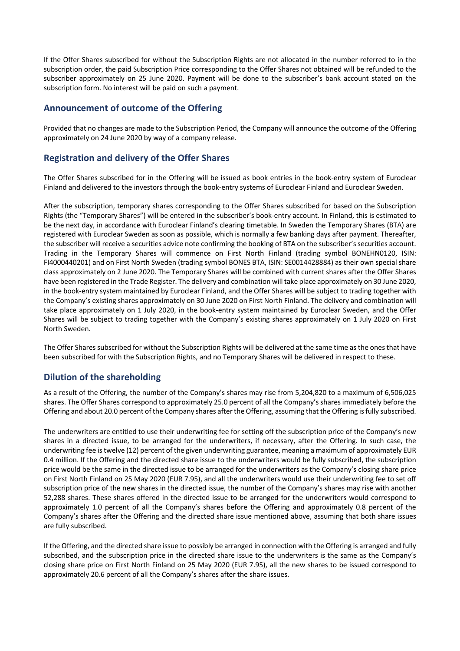If the Offer Shares subscribed for without the Subscription Rights are not allocated in the number referred to in the subscription order, the paid Subscription Price corresponding to the Offer Shares not obtained will be refunded to the subscriber approximately on 25 June 2020. Payment will be done to the subscriber's bank account stated on the subscription form. No interest will be paid on such a payment.

### **Announcement of outcome of the Offering**

Provided that no changes are made to the Subscription Period, the Company will announce the outcome of the Offering approximately on 24 June 2020 by way of a company release.

# **Registration and delivery of the Offer Shares**

The Offer Shares subscribed for in the Offering will be issued as book entries in the book-entry system of Euroclear Finland and delivered to the investors through the book-entry systems of Euroclear Finland and Euroclear Sweden.

After the subscription, temporary shares corresponding to the Offer Shares subscribed for based on the Subscription Rights (the "Temporary Shares") will be entered in the subscriber's book-entry account. In Finland, this is estimated to be the next day, in accordance with Euroclear Finland's clearing timetable. In Sweden the Temporary Shares (BTA) are registered with Euroclear Sweden as soon as possible, which is normally a few banking days after payment. Thereafter, the subscriber will receive a securities advice note confirming the booking of BTA on the subscriber's securities account. Trading in the Temporary Shares will commence on First North Finland (trading symbol BONEHN0120, ISIN: FI4000440201) and on First North Sweden (trading symbol BONES BTA, ISIN: SE0014428884) as their own special share class approximately on 2 June 2020. The Temporary Shares will be combined with current shares after the Offer Shares have been registered in the Trade Register. The delivery and combination will take place approximately on 30 June 2020, in the book-entry system maintained by Euroclear Finland, and the Offer Shares will be subject to trading together with the Company's existing shares approximately on 30 June 2020 on First North Finland. The delivery and combination will take place approximately on 1 July 2020, in the book-entry system maintained by Euroclear Sweden, and the Offer Shares will be subject to trading together with the Company's existing shares approximately on 1 July 2020 on First North Sweden.

The Offer Shares subscribed for without the Subscription Rights will be delivered at the same time as the ones that have been subscribed for with the Subscription Rights, and no Temporary Shares will be delivered in respect to these.

# **Dilution of the shareholding**

As a result of the Offering, the number of the Company's shares may rise from 5,204,820 to a maximum of 6,506,025 shares. The Offer Shares correspond to approximately 25.0 percent of all the Company's shares immediately before the Offering and about 20.0 percent of the Company shares after the Offering, assuming that the Offering is fully subscribed.

The underwriters are entitled to use their underwriting fee for setting off the subscription price of the Company's new shares in a directed issue, to be arranged for the underwriters, if necessary, after the Offering. In such case, the underwriting fee is twelve (12) percent of the given underwriting guarantee, meaning a maximum of approximately EUR 0.4 million. If the Offering and the directed share issue to the underwriters would be fully subscribed, the subscription price would be the same in the directed issue to be arranged for the underwriters as the Company's closing share price on First North Finland on 25 May 2020 (EUR 7.95), and all the underwriters would use their underwriting fee to set off subscription price of the new shares in the directed issue, the number of the Company's shares may rise with another 52,288 shares. These shares offered in the directed issue to be arranged for the underwriters would correspond to approximately 1.0 percent of all the Company's shares before the Offering and approximately 0.8 percent of the Company's shares after the Offering and the directed share issue mentioned above, assuming that both share issues are fully subscribed.

If the Offering, and the directed share issue to possibly be arranged in connection with the Offering is arranged and fully subscribed, and the subscription price in the directed share issue to the underwriters is the same as the Company's closing share price on First North Finland on 25 May 2020 (EUR 7.95), all the new shares to be issued correspond to approximately 20.6 percent of all the Company's shares after the share issues.